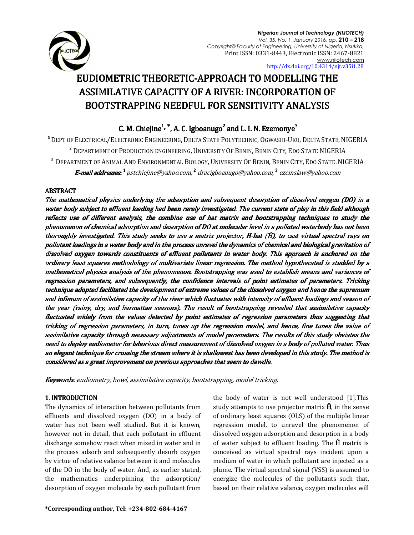

# EUDIOMETRIC THEORETIC-APPROACH TO MODELLING THE ASSIMILATIVE CAPACITY OF A RIVER: INCORPORATION OF BOOTSTRAPPING NEEDFUL FOR SENSITIVITY ANALYSIS

## C. M. Chiejine<sup>1, \*</sup>, A. C. Igboanugo<sup>2</sup> and L. I. N. Ezemonye<sup>3</sup>

DEPT OF ELECTRICAL/ELECTRONIC ENGINEERING, DELTA STATE POLYTECHNIC, OGWASHI-UKU, DELTA STATE,NIGERIA DEPARTMENT OF PRODUCTION ENGINEERING, UNIVERSITY OF BENIN, BENIN CITY, EDO STATE NIGERIA DEPARTMENT OF ANIMAL AND ENVIRONMENTAL BIOLOGY, UNIVERSITY OF BENIN, BENIN CITY, EDO STATE .NIGERIA **E-mail addresses: '** pstchiejine@yahoo.com, <sup>2</sup> dracigboanugo@yahoo.com, <sup>3</sup> ezemslaw@yahoo.com

## ABSTRACT

The mathematical physics underlying the adsorption and subsequent desorption of dissolved oxygen (DO) in a water body subject to effluent loading had been rarely investigated. The current state of play in this field although reflects use of different analysis, the combine use of hat matrix and bootstrapping techniques to study the phenomenon of chemical adsorption and desorption of DO at molecular level in a polluted waterbody has not been thoroughly investigated. This study seeks to use a matrix projector, H-hat (Ĥ), to cast virtual spectral rays on pollutant loadings in a water body and in the process unravel the dynamics of chemical and biological gravitation of dissolved oxygen towards constituents of effluent pollutants in water body. This approach is anchored on the ordinary least squares methodology of multivariate linear regression. The method hypothecated is studded by a mathematical physics analysis of the phenomenon. Bootstrapping was used to establish means and variances of regression parameters, and subsequently, the confidence intervals of point estimates of parameters. Tricking technique adopted facilitated the development of extreme values of the dissolved oxygen and hence the supremum and infimum of assimilative capacity of the river which fluctuates with intensity of effluent loadings and season of the year (rainy, dry, and harmattan seasons). The result of bootstrapping revealed that assimilative capacity fluctuated widely from the values detected by point estimates of regression parameters thus suggesting that tricking of regression parameters, in turn, tunes up the regression model, and hence, fine tunes the value of assimilative capacity through necessary adjustments of model parameters. The results of this study obviates the need to deploy eudiometer for laborious direct measurement of dissolved oxygen in a body of polluted water. Thus an elegant technique for crossing the stream where it is shallowest has been developed in this study. The method is considered as a great improvement on previous approaches that seem to dawdle.

Keywords: eudiometry, bowl, assimilative capacity, bootstrapping, model tricking.

## 1. INTRODUCTION

The dynamics of interaction between pollutants from effluents and dissolved oxygen (DO) in a body of water has not been well studied. But it is known, however not in detail, that each pollutant in effluent discharge somehow react when mixed in water and in the process adsorb and subsequently desorb oxygen by virtue of relative valance between it and molecules of the DO in the body of water. And, as earlier stated, the mathematics underpinning the adsorption/ desorption of oxygen molecule by each pollutant from the body of water is not well understood [1].This study attempts to use projector matrix  $\hat{H}$ , in the sense of ordinary least squares (OLS) of the multiple linear regression model, to unravel the phenomenon of dissolved oxygen adsorption and desorption in a body of water subject to effluent loading. The  $\hat{H}$  matrix is conceived as virtual spectral rays incident upon a medium of water in which pollutant are injected as a plume. The virtual spectral signal (VSS) is assumed to energize the molecules of the pollutants such that, based on their relative valance, oxygen molecules will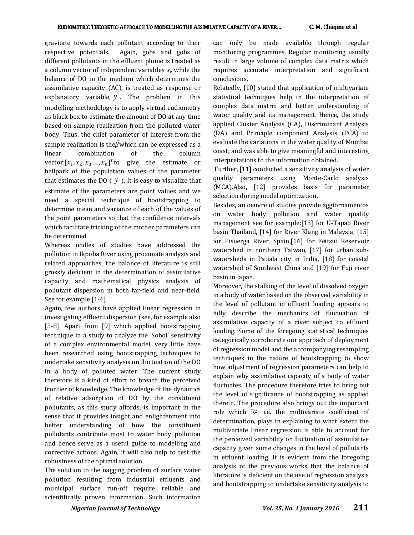gravitate towards each pollutant according to their respective potentials. Again, gobs and gobs of different pollutants in the effluent plume is treated as a column vector of independent variables  $x_i$ , while the balance of DO in the medium which determines the assimilative capacity (AC), is treated as response or explanatory variable, *y* . The problem in this modelling methodology is to apply virtual eudiometry as black box to estimate the amount of DO at any time based on sample realization from the polluted water body. Thus, the chief parameter of interest from the sample realization is the $\hat{\beta}$ which can be expressed as a linear combination of the column vector: $[x_1, x_2, x_3, ..., x_n]^T$ to give the estimate or ballpark of the population values of the parameter that estimates the DO ( *y* ). It is easy to visualize that estimate of the parameters are point values and we need a special technique of bootstrapping to determine mean and variance of each of the values of the point parameters so that the confidence intervals which facilitate tricking of the mother parameters can be determined.

Whereas oodles of studies have addressed the pollution in Ikpoba River using proximate analysis and related approaches, the balance of literature is still grossly deficient in the determination of assimilative capacity and mathematical physics analysis of pollutant dispersion in both far-field and near-field. See for example [1-4].

Again, few authors have applied linear regression in investigating effluent dispersion (see, for example also [5-8]. Apart from [9] which applied bootstrapping technique in a study to analyze the 'Sobol' sensitivity of a complex environmental model, very little have been researched using bootstrapping techniques to undertake sensitivity analysis on fluctuation of the DO in a body of polluted water. The current study therefore is a kind of effort to breach the perceived frontier of knowledge. The knowledge of the dynamics of relative adsorption of DO by the constituent pollutants, as this study affords, is important in the sense that it provides insight and enlightenment into better understanding of how the constituent pollutants contribute most to water body pollution and hence serve as a useful guide to modelling and corrective actions. Again, it will also help to test the robustness of the optimal solution.

The solution to the nagging problem of surface water pollution resulting from industrial effluents and municipal surface run-off require reliable and scientifically proven information. Such information

can only be made available through regular monitoring programmes. Regular monitoring usually result in large volume of complex data matrix which requires accurate interpretation and significant conclusions.

Relatedly, [10] stated that application of multivariate statistical techniques help in the interpretation of complex data matrix and better understanding of water quality and its management. Hence, the study applied Cluster Analysis (CA), Discriminant Analysis (DA) and Principle component Analysis (PCA) to evaluate the variations in the water quality of Mumbai coast; and was able to give meaningful and interesting interpretations to the information obtained.

 Further, [11] conducted a sensitivity analysis of water quality parameters using Monte-Carlo analysis (MCA).Also, [12] provides basis for parameter selection during model optimization.

Besides, an oeuvre of studies provide aggiornamentos on water body pollution and water quality management see for example:[13] for U-Tapao River basin Thailand, [14] for River Klang in Malaysia, [15] for Pisuerga River, Spain,[16] for Feitsui Reservoir watershed in northern Taiwan, [17] for urban subwatersheds in Patiala city in India, [18] for coastal watershed of Southeast China and [19] for Fuji river basin in Japan.

Moreover, the stalking of the level of dissolved oxygen in a body of water based on the observed variability in the level of pollutant in effluent loading appears to fully describe the mechanics of fluctuation of assimilative capacity of a river subject to effluent loading. Some of the foregoing statistical techniques categorically corroborate our approach of deployment of regression model and the accompanying resampling techniques in the nature of bootstrapping to show how adjustment of regression parameters can help to explain why assimilative capacity of a body of water fluctuates. The procedure therefore tries to bring out the level of significance of bootstrapping as applied therein. The procedure also brings out the important role which R<sup>2</sup>, i.e. the multivariate coefficient of determination, plays in explaining to what extent the multivariate linear regression is able to account for the perceived variability or fluctuation of assimilative capacity given some changes in the level of pollutants in effluent loading. It is evident from the foregoing analysis of the previous works that the balance of literature is deficient on the use of regression analysis and bootstrapping to undertake sensitivity analysis to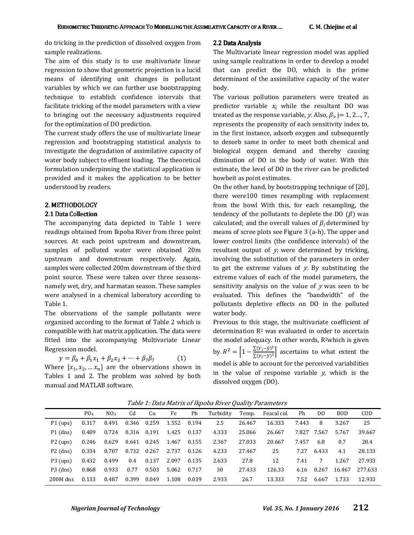do tricking in the prediction of dissolved oxygen from sample realizations.

The aim of this study is to use multivariate linear regression to show that geometric projection is a lucid means of identifying unit changes in pollutant variables by which we can further use bootstrapping technique to establish confidence intervals that facilitate tricking of the model parameters with a view to bringing out the necessary adjustments required for the optimization of DO prediction.

The current study offers the use of multivariate linear regression and bootstrapping statistical analysis to investigate the degradation of assimilative capacity of water body subject to effluent loading. The theoretical formulation underpinning the statistical application is provided and it makes the application to be better understood by readers.

#### 2. METHODOLOGY

#### 2.1 Data Collection 2.1 Data Collection

The accompanying data depicted in Table 1 were readings obtained from Ikpoba River from three point sources. At each point upstream and downstream, samples of polluted water were obtained 20m upstream and downstream respectively. Again, samples were collected 200m downstream of the third point source. These were taken over three seasonsnamely wet, dry, and harmatan season. These samples were analysed in a chemical laboratory according to Table 1.

The observations of the sample pollutants were organized according to the format of Table 2 which is compatible with hat matrix application. The data were fitted into the accompanying Multivariate Linear Regression model.

 $y = \beta_0 + \beta_1 x_1 + \beta_2 x_2 + \cdots + \beta_7 \beta_7$  (1) Where  $[x_1, x_2, ... x_n]$  are the observations shown in Tables 1 and 2. The problem was solved by both manual and MATLAB software.

#### 2.2 Data Analysis 2.2 Data Analysis

The Multivariate linear regression model was applied using sample realizations in order to develop a model that can predict the DO, which is the prime determinant of the assimilative capacity of the water body.

The various pollution parameters were treated as predictor variable  $x_i$  while the resultant DO was treated as the response variable, y. Also,  $\beta_j$ , j= 1, 2..., 7, represents the propensity of each sensitivity index to, in the first instance, adsorb oxygen and subsequently to desorb same in order to meet both chemical and biological oxygen demand and thereby causing diminution of DO in the body of water. With this estimate, the level of DO in the river can be predicted howbeit as point estimates.

On the other hand, by bootstrapping technique of [20], there were100 times resampling with replacement from the bowl With this, for each resampling, the tendency of the pollutants to deplete the DO  $(\beta)$  was calculated; and the overall values of  $\beta_i$  determined by means of scree plots see Figure 3 (a-h). The upper and lower control limits (the confidence intervals) of the resultant output of  $V_i$  were determined by tricking, involving the substitution of the parameters in order to get the extreme values of  $y$ . By substituting the extreme values of each of the model parameters, the sensitivity analysis on the value of  $y$  was seen to be evaluated. This defines the "bandwidth" of the pollutants depletive effects on DO in the polluted water body.

Previous to this stage, the multivariate coefficient of determination R<sup>2</sup> was evaluated in order to ascertain the model adequacy. In other words,  $R^2$ which is given by.  $R^2 = \left[1 - \frac{\sum (Y_i - \hat{y})^2}{\sum (Y_i - \bar{y})^2}\right]$  $\frac{\Delta(2+\mu+\mu)}{\Sigma(\nu_i-\bar{\nu})^2}$  ascertains to what extent the model is able to account for the perceived variabilities in the value of response variable  $y$ , which is the dissolved oxygen (DO).

| Table 1. Data matrix of inpoba furci Quality I arameters |                 |                 |       |       |       |       |           |        |             |       |                |            |            |
|----------------------------------------------------------|-----------------|-----------------|-------|-------|-------|-------|-----------|--------|-------------|-------|----------------|------------|------------|
|                                                          | PO <sub>4</sub> | NO <sub>3</sub> | Cd    | Cu    | Fe    | Pb    | Turbidity | Temp.  | Feacal col. | Ph    | D <sub>0</sub> | <b>BOD</b> | <b>COD</b> |
| $P1$ (ups)                                               | 0.317           | 0.491           | 0.346 | 0.259 | 1.552 | 0.194 | 2.5       | 26.467 | 16.333      | 7.443 | 8              | 3.267      | 25         |
| $P1$ (dns)                                               | 0.489           | 0.724           | 0.316 | 0.191 | 1.425 | 0.137 | 4.333     | 25.066 | 26.667      | 7.827 | 7.567          | 5.767      | 39.667     |
| $P2$ (ups)                                               | 0.246           | 0.629           | 0.641 | 0.245 | 1.467 | 0.155 | 2.367     | 27.033 | 20.667      | 7.457 | 6.8            | 0.7        | 28.4       |
| $P2$ (dns)                                               | 0.334           | 0.707           | 0.732 | 0.267 | 2.737 | 0.126 | 4.233     | 27.467 | 25          | 7.27  | 6.433          | 4.1        | 28.133     |
| $P3$ (ups)                                               | 0.432           | 0.499           | 0.4   | 0.137 | 2.097 | 0.135 | 2.633     | 27.8   | 12          | 7.41  | 7              | 1.267      | 27.933     |
| $P3$ (dns)                                               | 0.868           | 0.933           | 0.77  | 0.503 | 5.062 | 0.717 | 30        | 27.433 | 126.33      | 6.16  | 0.267          | 16.467     | 277.633    |
| $200M$ dns                                               | 0.133           | 0.487           | 0.399 | 0.049 | 1.108 | 0.039 | 2.933     | 26.7   | 13.333      | 7.52  | 6.667          | 1.733      | 12.933     |

Table 1: Data Matrix of Ikpoba River Quality Parameters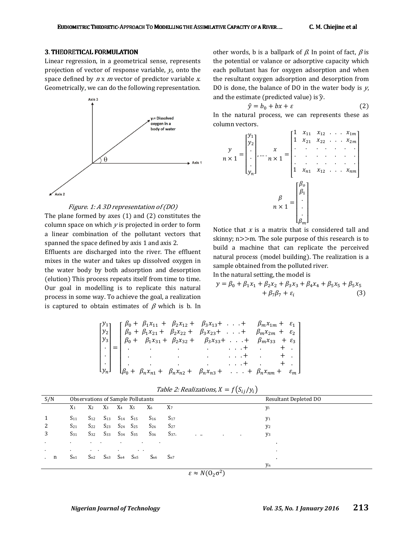#### 3. THEORETICAL FORMULATION

Linear regression, in a geometrical sense, represents projection of vector of response variable,  $y_i$ , onto the space defined by  $n \times m$  vector of predictor variable  $x$ . Geometrically, we can do the following representation.



#### Figure. 1: A 3D representation of (DO)

The plane formed by axes (1) and (2) constitutes the column space on which  $y$  is projected in order to form a linear combination of the pollutant vectors that spanned the space defined by axis 1 and axis 2.

Effluents are discharged into the river. The effluent mixes in the water and takes up dissolved oxygen in the water body by both adsorption and desorption (elution) This process repeats itself from time to time. Our goal in modelling is to replicate this natural process in some way. To achieve the goal, a realization is captured to obtain estimates of  $\beta$  which is b. In

other words, b is a ballpark of  $\beta$ . In point of fact,  $\beta$  is the potential or valance or adsorptive capacity which each pollutant has for oxygen adsorption and when the resultant oxygen adsorption and desorption from DO is done, the balance of DO in the water body is  $y$ , and the estimate (predicted value) is  $\hat{y}$ .

$$
\hat{y} = b_0 + bx + \varepsilon \tag{2}
$$

In the natural process, we can represents these as column vectors.

$$
y = \begin{bmatrix} y_1 \\ y_2 \\ \vdots \\ y_n \end{bmatrix}, \dots, \begin{bmatrix} x \\ x \end{bmatrix} = \begin{bmatrix} 1 & x_{11} & x_{12} & \dots & x_{1m} \\ 1 & x_{21} & x_{22} & \dots & x_{2m} \\ \vdots & \vdots & \ddots & \vdots & \vdots \\ 1 & x_{n1} & x_{12} & \dots & x_{nm} \end{bmatrix}
$$

$$
\beta = \begin{bmatrix} \beta_0 \\ \beta_1 \\ \vdots \\ \beta_m \end{bmatrix}
$$

Notice that  $x$  is a matrix that is considered tall and skinny; n>>m. The sole purpose of this research is to build a machine that can replicate the perceived natural process (model building). The realization is a sample obtained from the polluted river.

In the natural setting, the model is

$$
y = \beta_0 + \beta_1 x_1 + \beta_2 x_2 + \beta_3 x_3 + \beta_4 x_4 + \beta_5 x_5 + \beta_5 x_5 + \beta_7 \beta_7 + \varepsilon_i
$$
 (3)

$$
\begin{bmatrix} y_1 \\ y_2 \\ y_3 \\ \vdots \\ y_n \end{bmatrix} = \begin{bmatrix} \beta_0 + \beta_1 x_{11} + \beta_2 x_{12} + \beta_3 x_{13} + \cdots + \beta_m x_{1m} + \varepsilon_1 \\ \beta_0 + \beta_1 x_{21} + \beta_2 x_{22} + \beta_3 x_{23} + \cdots + \beta_m x_{2m} + \varepsilon_2 \\ \beta_0 + \beta_1 x_{31} + \beta_2 x_{32} + \beta_3 x_{33} + \cdots + \beta_m x_{33} + \varepsilon_3 \\ \vdots & \vdots & \vdots \\ \beta_0 + \beta_n x_{n1} + \beta_n x_{n2} + \beta_n x_{n3} + \cdots + \beta_n x_{nm} + \varepsilon_m \end{bmatrix}
$$

|         |          |                                   |                                     |          |                   |           |          |               |  | $\sim$ $\sim$ |                       |
|---------|----------|-----------------------------------|-------------------------------------|----------|-------------------|-----------|----------|---------------|--|---------------|-----------------------|
| S/N     |          | Observations of Sample Pollutants |                                     |          |                   |           |          |               |  |               | Resultant Depleted DO |
|         | $X_1$    | $X_2$                             | $X_3$                               | $X_4$    | $X_5$             | $X_6$     | $X_7$    |               |  |               | Уi                    |
|         | $S_{11}$ |                                   | $S_{12}$ $S_{13}$ $S_{14}$ $S_{15}$ |          |                   | $S_{16}$  | $S_{17}$ |               |  |               | <b>y</b> <sub>1</sub> |
| 2       | $S_{21}$ |                                   | $S_{22}$ $S_{23}$ $S_{24}$ $S_{25}$ |          |                   | $S_{26}$  | $S_{27}$ |               |  |               | y2                    |
| 3       | $S_{31}$ |                                   | $S_{32}$ $S_{33}$                   |          | $S_{34}$ $S_{35}$ | $S_{36}$  | $S_{37}$ | $\sim$ $\sim$ |  |               | yз                    |
|         | $\cdot$  |                                   |                                     |          |                   | $\bullet$ |          |               |  |               | $\bullet$             |
| $\cdot$ |          | $\sim$                            |                                     | $\cdot$  | $\cdots$          |           |          |               |  |               | $\cdot$               |
| n       | $S_{n1}$ | $S_{n2}$                          | $S_{n3}$                            | $S_{n4}$ | $S_{n5}$          | $S_{n6}$  | $S_{n7}$ |               |  |               | . .                   |
|         |          |                                   |                                     |          |                   |           |          |               |  |               | Уn                    |

 $\varepsilon \approx N(0_2\sigma^2)$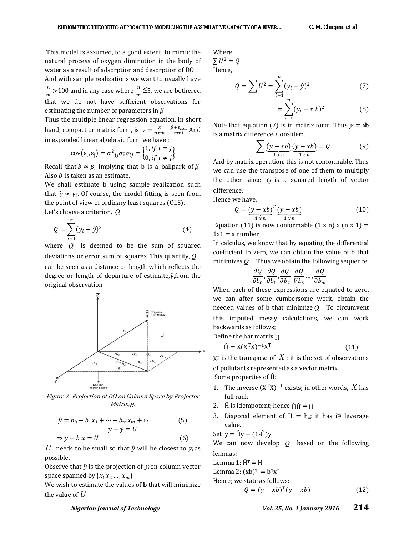This model is assumed, to a good extent, to mimic the natural process of oxygen diminution in the body of water as a result of adsorption and desorption of DO.

And with sample realizations we want to usually have

 $\boldsymbol{n}$  $\frac{n}{m}$  >100 and in any case where  $\frac{n}{m}$   $\leq$ 5, we are bothered that we do not have sufficient observations for estimating the number of parameters in  $\beta$ .

Thus the multiple linear regression equation, in short hand, compact or matrix form, is  $y = \frac{x}{nxm} \frac{\beta + \varepsilon_{nx1}}{mx1}$  And in expanded linear algebraic form we have :

$$
cov(\varepsilon_i, \varepsilon_j) = \sigma^2_{ij}\sigma; \sigma_{ij} = \begin{cases} 1, if \ i = j \\ 0, if \ i \neq j \end{cases}
$$

Recall that  $b \approx \beta$ , implying that b is a ballpark of  $\beta$ . Also  $\beta$  is taken as an estimate.

We shall estimate b using sample realization such that  $\hat{y} \approx y_i$ . Of course, the model fitting is seen from the point of view of ordinary least squares (OLS).

Let's choose a criterion, *Q*

$$
Q = \sum_{i=1}^{n} (y_i - \hat{y})^2
$$
 (4)

where *Q* is deemed to be the sum of squared deviations or error sum of squares. This quantity, *Q* , can be seen as a distance or length which reflects the degree or length of departure of estimate, $\hat{y}$ , from the original observation.



Figure 2: Projection of DO on Column Space by Projector Matrix,H.

$$
\hat{y} = b_0 + b_1 x_1 + \dots + b_m x_m + \varepsilon_i
$$
(5)  

$$
y - \hat{y} = U
$$
(6)

*U* needs to be small so that  $\hat{y}$  will be closest to  $y_i$  as possible.

Observe that  $\hat{y}$  is the projection of  $y_i$  on column vector space spanned by  $\{x_1x_2... , x_m\}$ 

We wish to estimate the values of  **that will minimize** the value of *U*

Where  $\sum U^2 = Q$ Hence,

$$
Q = \sum U^2 = \sum_{i=1}^{n} (y_i - \hat{y})^2
$$
 (7)

$$
= \sum_{i=1}^{n} (y_i - x b)^2
$$
 (8)

Note that equation (7) is in matrix form. Thus  $y = x$ **b** is a matrix difference. Consider:

$$
\sum \underbrace{(y-xb)}_{1 \times n} \underbrace{(y-xb)}_{1 \times n} = Q \tag{9}
$$

And by matrix operation, this is not conformable. Thus we can use the transpose of one of them to multiply the other since *Q* is a squared length of vector difference.

Hence we have,

$$
Q = \underbrace{(y - xb)^T}_{1 \times n} \underbrace{(y - xb)}_{1 \times n}
$$
 (10)

Equation (11) is now conformable  $(1 \times n) \times (n \times 1) =$  $1x1 = a$  number

In calculus, we know that by equating the differential coefficient to zero, we can obtain the value of b that minimizes *Q* . Thus we obtain the following sequence

$$
\frac{\partial Q}{\partial b_0}, \frac{\partial Q}{\partial b_1}, \frac{\partial Q}{\partial b_2}, \frac{\partial Q}{\partial b_3}, \dots, \frac{\partial Q}{\partial b_m}
$$

When each of these expressions are equated to zero, we can after some cumbersome work, obtain the needed values of b that minimize *Q* . To circumvent this imputed messy calculations, we can work backwards as follows;

Define the hat matrix H

$$
\hat{H} = X(X^{\mathrm{T}}X)^{-1}X^{\mathrm{T}}
$$
\n(11)

 $X<sub>T</sub>$  is the transpose of  $X$ ; it is the set of observations of pollutants represented as a vector matrix.

- Some properties of Ĥ:
- 1. The inverse  $(X<sup>T</sup>X)^{-1}$  exists; in other words, X has full rank
- 2.  $\hat{H}$  is idempotent; hence  $\hat{H} \hat{H} = H$
- 3. Diagonal element of  $H = h_{ii}$ ; it has i<sup>th</sup> leverage value.

Set  $y = \hat{H}y + (1-\hat{H})y$ 

We can now develop *Q* based on the following lemmas:

Lemma 1:  $\hat{H}^T = H$ Lemma 2:  $(xb)^T = b^T x^T$ 

Hence; we state as follows:

$$
Q = (y - xb)^{T}(y - xb)
$$
 (12)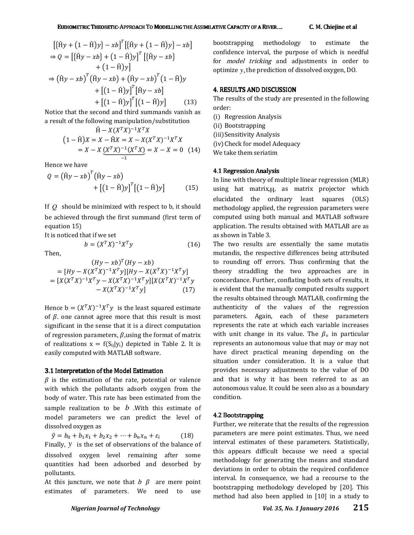$(16)$ 

$$
[(\hat{H}y + (1 - \hat{H})y] - xb]^T [(\hat{H}y + (1 - \hat{H})y] - xb] \n\Rightarrow Q = [(\hat{H}y - xb) + (1 - \hat{H})y]^T [(\hat{H}y - xb) \n+ (1 - \hat{H})y] \n\Rightarrow (\hat{H}y - xb)^T (\hat{H}y - xb) + (\hat{H}y - xb)^T (1 - \hat{H})y \n+ [(1 - \hat{H})y]^T [\hat{H}y - xb] \n+ [(1 - \hat{H})y]^T [(1 - \hat{H})y]
$$
\n(13)

Notice that the second and third summands vanish as a result of the following manipulation/substitution

$$
\hat{H} - X(X^T X)^{-1} X^T X
$$
  
(1 -  $\hat{H}$ )X = X -  $\hat{H}$ X = X - X(X^T X)^{-1} X^T X  
= X - X (X^T X)^{-1} (X^T X) = X - X = 0 (14)

Hence we have

$$
Q = (\hat{H}y - xb)^{T} (\hat{H}y - xb) + [(1 - \hat{H})y]^{T} [(1 - \hat{H})y]
$$
 (15)

If *Q* should be minimized with respect to b, it should be achieved through the first summand (first term of equation 15)

 $b = (X^T X)^{-1} X$ 

It is noticed that if we set

Then,

$$
(Hy - xb)^{T} (Hy - xb)
$$
  
= 
$$
[Hy - X(X^{T}X)^{-1}X^{T}y][Hy - X(X^{T}X)^{-1}X^{T}y]
$$
  
= 
$$
[X(X^{T}X)^{-1}X^{T}y - X(X^{T}X)^{-1}X^{T}y][X(X^{T}X)^{-1}X^{T}y - X(X^{T}X)^{-1}X^{T}y]
$$
 (17)

Hence  $b = (X^T X)^{-1} X^T y$  is the least squared estimate of  $\beta$ . one cannot agree more that this result is most significant in the sense that it is a direct computation of regression parameters,  $\beta$ , using the format of matrix of realizations  $x = f(S_{ii}|y_i)$  depicted in Table 2. It is easily computed with MATLAB software.

#### 3.1 Interpretation of the Model Estimation

 $\beta$  is the estimation of the rate, potential or valence with which the pollutants adsorb oxygen from the body of water. This rate has been estimated from the sample realization to be *b* .With this estimate of model parameters we can predict the level of dissolved oxygen as

$$
\hat{y} = b_0 + b_1 x_1 + b_2 x_2 + \dots + b_n x_n + \varepsilon_i \tag{18}
$$

Finally, *y* is the set of observations of the balance of dissolved oxygen level remaining after some quantities had been adsorbed and desorbed by pollutants.

At this juncture, we note that  $b \beta$  are mere point estimates of parameters. We need to use

bootstrapping methodology to estimate the confidence interval, the purpose of which is needful for model tricking and adjustments in order to optimize *y*,the prediction of dissolved oxygen, DO.

### **4. RESULTS AND DISCUSSION**

The results of the study are presented in the following order:

(i) Regression Analysis

(ii) Bootstrapping

(iii)Sensitivity Analysis

(iv)Check for model Adequacy

We take them seriatim

#### 4.1 Regression Analysis 4.1 Regression Analysis

In line with theory of multiple linear regression (MLR) using hat matrix,H, as matrix projector which elucidated the ordinary least squares (OLS) methodology applied, the regression parameters were computed using both manual and MATLAB software application. The results obtained with MATLAB are as as shown in Table 3.

The two results are essentially the same mutatis mutandis, the respective differences being attributed to rounding off errors. Thus confirming that the theory straddling the two approaches are in concordance. Further, conflating both sets of results, it is evident that the manually computed results support the results obtained through MATLAB, confirming the authenticity of the values of the regression parameters. Again, each of these parameters represents the rate at which each variable increases with unit change in its value. The  $\beta_0$  in particular represents an autonomous value that may or may not have direct practical meaning depending on the situation under consideration. It is a value that provides necessary adjustments to the value of DO and that is why it has been referred to as an autonomous value. It could be seen also as a boundary condition.

#### 4.2 Bootstrapping 4.2 Bootstrapping

Further, we reiterate that the results of the regression parameters are mere point estimates. Thus, we need interval estimates of these parameters. Statistically, this appears difficult because we need a special methodology for generating the means and standard deviations in order to obtain the required confidence interval. In consequence, we had a recourse to the bootstrapping methodology developed by [20]. This method had also been applied in [10] in a study to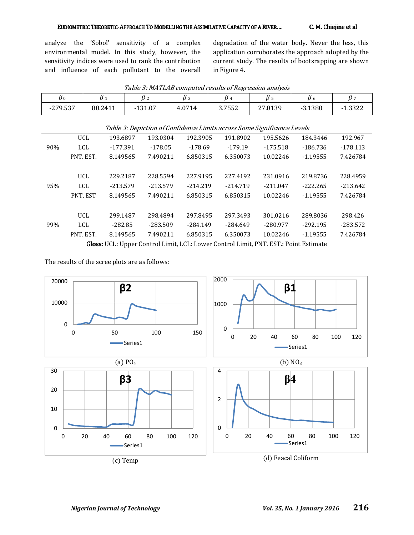analyze the 'Sobol' sensitivity of a complex environmental model. In this study, however, the sensitivity indices were used to rank the contribution and influence of each pollutant to the overall degradation of the water body. Never the less, this application corroborates the approach adopted by the current study. The results of bootsrapping are shown in Figure 4.

| $\beta_0$                                                               |            | $\beta_1$  | $\beta_2$               | $\beta_3$  | $\beta$ 4  | $\beta$ 5  | $\beta$ 6  | $\beta$ 7  |  |  |  |  |
|-------------------------------------------------------------------------|------------|------------|-------------------------|------------|------------|------------|------------|------------|--|--|--|--|
| $-279.537$                                                              |            | 80.2411    | $-131.07$               | 4.0714     | 3.7552     | 27.0139    | $-3.1380$  | $-1.3322$  |  |  |  |  |
| Table 3: Depiction of Confidence Limits across Some Significance Levels |            |            |                         |            |            |            |            |            |  |  |  |  |
| <b>UCL</b>                                                              |            | 193.6897   | 193.0304                | 192.3905   | 191.8902   | 195.5626   | 184.3446   | 192.967    |  |  |  |  |
| 90%                                                                     | LCL        |            | $-177.391$<br>$-178.05$ | $-178.69$  | $-179.19$  | $-175.518$ | $-186.736$ | $-178.113$ |  |  |  |  |
| PNT. EST.                                                               |            | 8.149565   | 7.490211                | 6.850315   | 6.350073   | 10.02246   | $-1.19555$ | 7.426784   |  |  |  |  |
|                                                                         |            |            |                         |            |            |            |            |            |  |  |  |  |
|                                                                         | <b>UCL</b> | 229,2187   | 228.5594                | 227.9195   | 227.4192   | 231.0916   | 219.8736   | 228.4959   |  |  |  |  |
| 95%                                                                     | LCL        | $-213.579$ | $-213.579$              | $-214.219$ | $-214.719$ | $-211.047$ | $-222.265$ | $-213.642$ |  |  |  |  |
|                                                                         | PNT. EST   | 8.149565   | 7.490211                | 6.850315   | 6.850315   | 10.02246   | $-1.19555$ | 7.426784   |  |  |  |  |
|                                                                         |            |            |                         |            |            |            |            |            |  |  |  |  |
|                                                                         | <b>UCL</b> | 299.1487   | 298.4894                | 297.8495   | 297.3493   | 301.0216   | 289.8036   | 298.426    |  |  |  |  |
| 99%                                                                     | LCL        | $-282.85$  | $-283.509$              | $-284.149$ | -284.649   | $-280.977$ | $-292.195$ | $-283.572$ |  |  |  |  |
|                                                                         |            |            |                         |            |            |            |            |            |  |  |  |  |

Table 3: MATLAB computed results of Regression analysis

Gloss:UCL: Upper Control Limit, LCL: Lower Control Limit, PNT. EST.: Point Estimate

PNT. EST. 8.149565 7.490211 6.850315 6.350073 10.02246 -1.19555 7.426784

The results of the scree plots are as follows:

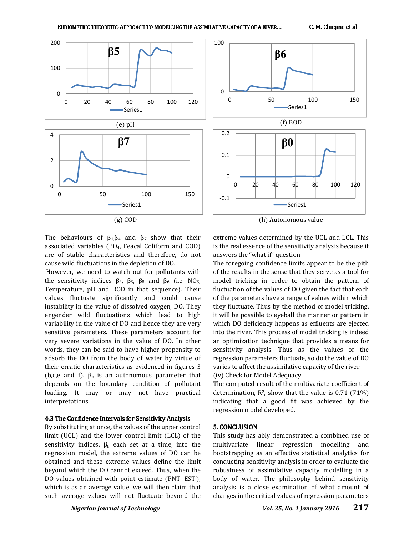

The behaviours of  $\beta_1, \beta_4$  and  $\beta_7$  show that their associated variables (PO4, Feacal Coliform and COD) are of stable characteristics and therefore, do not cause wild fluctuations in the depletion of DO.

 However, we need to watch out for pollutants with the sensitivity indices  $β_2$ ,  $β_3$ ,  $β_5$  and  $β_6$  (i.e. NO<sub>3</sub>, Temperature, pH and BOD in that sequence). Their values fluctuate significantly and could cause instability in the value of dissolved oxygen, DO. They engender wild fluctuations which lead to high variability in the value of DO and hence they are very sensitive parameters. These parameters account for very severe variations in the value of DO. In other words, they can be said to have higher propensity to adsorb the DO from the body of water by virtue of their erratic characteristics as evidenced in figures 3 (b,c,e and f).  $\beta_0$  is an autonomous parameter that depends on the boundary condition of pollutant loading. It may or may not have practical interpretations.

#### 4.3 The Confidence Intervals for Sensitivity Analysis

By substituting at once, the values of the upper control limit (UCL) and the lower control limit (LCL) of the sensitivity indices,  $\beta_{j}$ , each set at a time, into the regression model, the extreme values of DO can be obtained and these extreme values define the limit beyond which the DO cannot exceed. Thus, when the DO values obtained with point estimate (PNT. EST.), which is as an average value, we will then claim that such average values will not fluctuate beyond the

extreme values determined by the UCL and LCL. This is the real essence of the sensitivity analysis because it answers the "what if" question.

The foregoing confidence limits appear to be the pith of the results in the sense that they serve as a tool for model tricking in order to obtain the pattern of fluctuation of the values of DO given the fact that each of the parameters have a range of values within which they fluctuate. Thus by the method of model tricking, it will be possible to eyeball the manner or pattern in which DO deficiency happens as effluents are ejected into the river. This process of model tricking is indeed an optimization technique that provides a means for sensitivity analysis. Thus as the values of the regression parameters fluctuate, so do the value of DO varies to affect the assimilative capacity of the river. (iv) Check for Model Adequacy

The computed result of the multivariate coefficient of determination,  $R^2$ , show that the value is 0.71 (71%) indicating that a good fit was achieved by the regression model developed.

#### 5. CONCLUSION

This study has ably demonstrated a combined use of multivariate linear regression modelling and bootstrapping as an effective statistical analytics for conducting sensitivity analysis in order to evaluate the robustness of assimilative capacity modelling in a body of water. The philosophy behind sensitivity analysis is a close examination of what amount of changes in the critical values of regression parameters